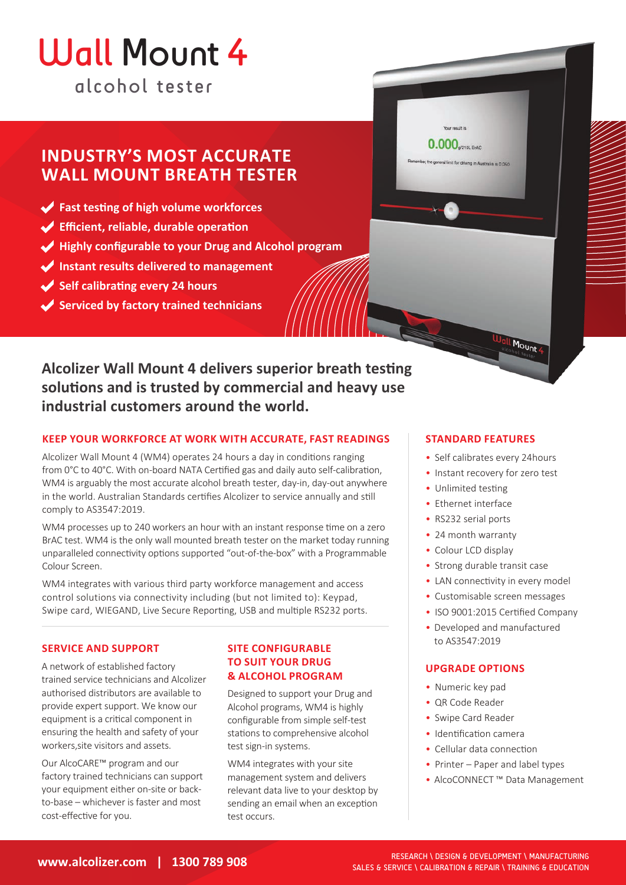# alcohol tester Wall Mount 4

# **INDUSTRY'S MOST ACCURATE WALL MOUNT BREATH TESTER**

- **Fast testing of high volume workforces**
- **Efficient, reliable, durable operation**
- **Highly configurable to your Drug and Alcohol program**
- **Instant results delivered to management**
- **Self calibrating every 24 hours**
- **Serviced by factory trained technicians**

**Alcolizer Wall Mount 4 delivers superior breath testing solutions and is trusted by commercial and heavy use industrial customers around the world.**

### **KEEP YOUR WORKFORCE AT WORK WITH ACCURATE, FAST READINGS**

Alcolizer Wall Mount 4 (WM4) operates 24 hours a day in conditions ranging from 0°C to 40°C. With on-board NATA Certified gas and daily auto self-calibration, WM4 is arguably the most accurate alcohol breath tester, day-in, day-out anywhere in the world. Australian Standards certifies Alcolizer to service annually and still comply to AS3547:2019.

WM4 processes up to 240 workers an hour with an instant response time on a zero BrAC test. WM4 is the only wall mounted breath tester on the market today running unparalleled connectivity options supported "out-of-the-box" with a Programmable Colour Screen.

WM4 integrates with various third party workforce management and access control solutions via connectivity including (but not limited to): Keypad, Swipe card, WIEGAND, Live Secure Reporting, USB and multiple RS232 ports.

#### **SERVICE AND SUPPORT**

A network of established factory trained service technicians and Alcolizer authorised distributors are available to provide expert support. We know our equipment is a critical component in ensuring the health and safety of your workers,site visitors and assets.

Our AlcoCARE™ program and our factory trained technicians can support your equipment either on-site or backto-base – whichever is faster and most cost-effective for you.

### **SITE CONFIGURABLE TO SUIT YOUR DRUG & ALCOHOL PROGRAM**

Designed to support your Drug and Alcohol programs, WM4 is highly configurable from simple self-test stations to comprehensive alcohol test sign-in systems.

WM4 integrates with your site management system and delivers relevant data live to your desktop by sending an email when an exception test occurs.

### **STANDARD FEATURES**

• Self calibrates every 24hours

Mount 4

- Instant recovery for zero test
- Unlimited testing

0.000<sub>9210LBMC</sub>

limit for driving in Australia is a ner

- Ethernet interface
- RS232 serial ports
- 24 month warranty
- Colour LCD display
- Strong durable transit case
- LAN connectivity in every model
- Customisable screen messages
- ISO 9001:2015 Certified Company
- Developed and manufactured to AS3547:2019

#### **UPGRADE OPTIONS**

- Numeric key pad
- QR Code Reader
- Swipe Card Reader
- Identification camera
- Cellular data connection
- Printer Paper and label types
- AlcoCONNECT ™ Data Management